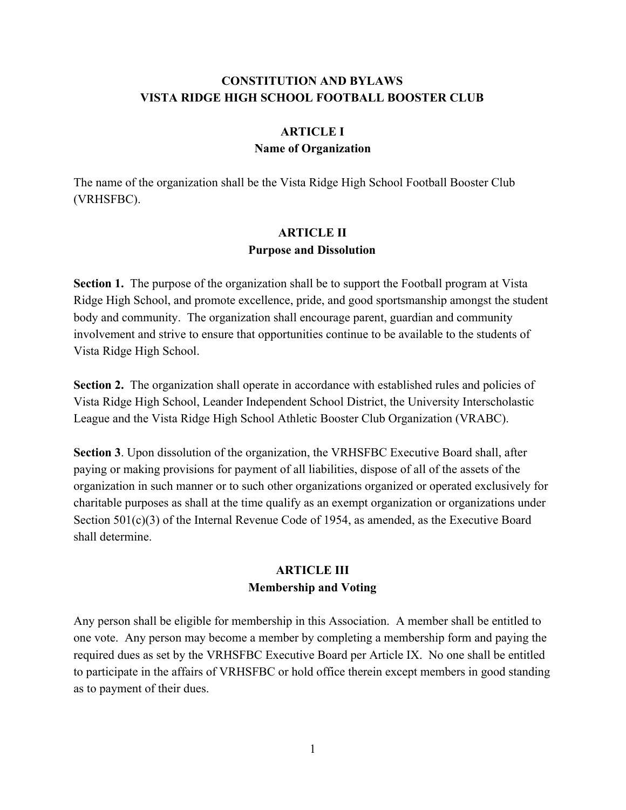# **CONSTITUTION AND BYLAWS VISTA RIDGE HIGH SCHOOL FOOTBALL BOOSTER CLUB**

# **ARTICLE I Name of Organization**

The name of the organization shall be the Vista Ridge High School Football Booster Club (VRHSFBC).

## **ARTICLE II Purpose and Dissolution**

**Section 1.** The purpose of the organization shall be to support the Football program at Vista Ridge High School, and promote excellence, pride, and good sportsmanship amongst the student body and community. The organization shall encourage parent, guardian and community involvement and strive to ensure that opportunities continue to be available to the students of Vista Ridge High School.

**Section 2.** The organization shall operate in accordance with established rules and policies of Vista Ridge High School, Leander Independent School District, the University Interscholastic League and the Vista Ridge High School Athletic Booster Club Organization (VRABC).

**Section 3**. Upon dissolution of the organization, the VRHSFBC Executive Board shall, after paying or making provisions for payment of all liabilities, dispose of all of the assets of the organization in such manner or to such other organizations organized or operated exclusively for charitable purposes as shall at the time qualify as an exempt organization or organizations under Section 501(c)(3) of the Internal Revenue Code of 1954, as amended, as the Executive Board shall determine.

## **ARTICLE III Membership and Voting**

Any person shall be eligible for membership in this Association. A member shall be entitled to one vote. Any person may become a member by completing a membership form and paying the required dues as set by the VRHSFBC Executive Board per Article IX. No one shall be entitled to participate in the affairs of VRHSFBC or hold office therein except members in good standing as to payment of their dues.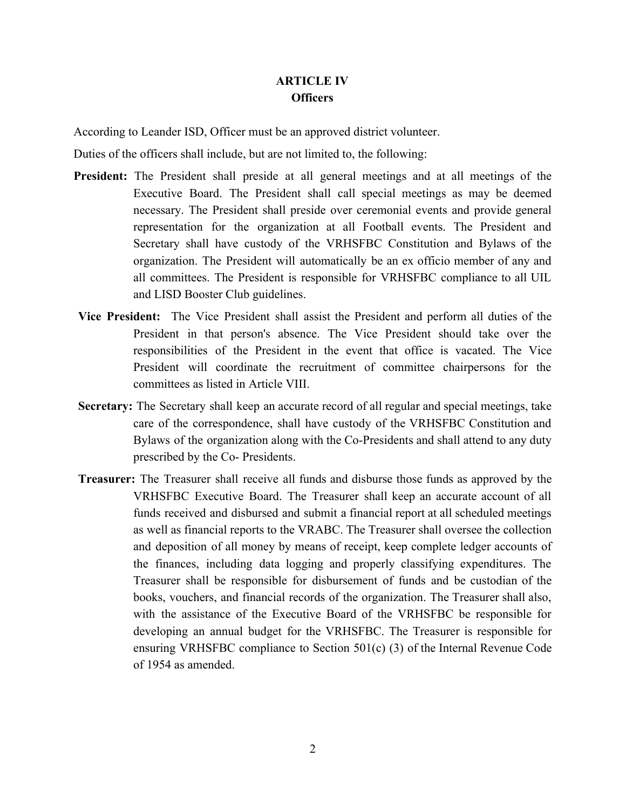## **ARTICLE IV Officers**

According to Leander ISD, Officer must be an approved district volunteer.

Duties of the officers shall include, but are not limited to, the following:

- **President:** The President shall preside at all general meetings and at all meetings of the Executive Board. The President shall call special meetings as may be deemed necessary. The President shall preside over ceremonial events and provide general representation for the organization at all Football events. The President and Secretary shall have custody of the VRHSFBC Constitution and Bylaws of the organization. The President will automatically be an ex officio member of any and all committees. The President is responsible for VRHSFBC compliance to all UIL and LISD Booster Club guidelines.
- **Vice President:** The Vice President shall assist the President and perform all duties of the President in that person's absence. The Vice President should take over the responsibilities of the President in the event that office is vacated. The Vice President will coordinate the recruitment of committee chairpersons for the committees as listed in Article VIII.
- **Secretary:** The Secretary shall keep an accurate record of all regular and special meetings, take care of the correspondence, shall have custody of the VRHSFBC Constitution and Bylaws of the organization along with the Co-Presidents and shall attend to any duty prescribed by the Co- Presidents.
- **Treasurer:** The Treasurer shall receive all funds and disburse those funds as approved by the VRHSFBC Executive Board. The Treasurer shall keep an accurate account of all funds received and disbursed and submit a financial report at all scheduled meetings as well as financial reports to the VRABC. The Treasurer shall oversee the collection and deposition of all money by means of receipt, keep complete ledger accounts of the finances, including data logging and properly classifying expenditures. The Treasurer shall be responsible for disbursement of funds and be custodian of the books, vouchers, and financial records of the organization. The Treasurer shall also, with the assistance of the Executive Board of the VRHSFBC be responsible for developing an annual budget for the VRHSFBC. The Treasurer is responsible for ensuring VRHSFBC compliance to Section 501(c) (3) of the Internal Revenue Code of 1954 as amended.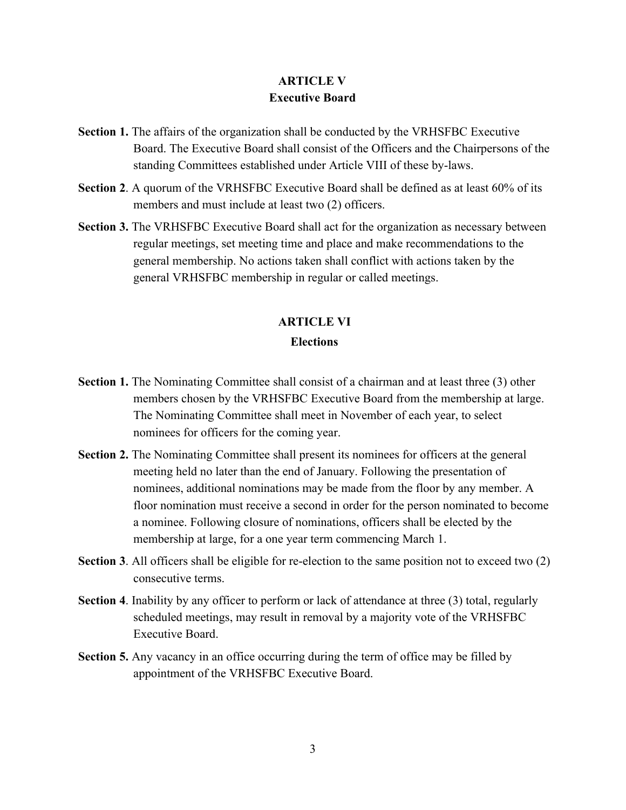## **ARTICLE V Executive Board**

- **Section 1.** The affairs of the organization shall be conducted by the VRHSFBC Executive Board. The Executive Board shall consist of the Officers and the Chairpersons of the standing Committees established under Article VIII of these by-laws.
- **Section 2**. A quorum of the VRHSFBC Executive Board shall be defined as at least 60% of its members and must include at least two (2) officers.
- **Section 3.** The VRHSFBC Executive Board shall act for the organization as necessary between regular meetings, set meeting time and place and make recommendations to the general membership. No actions taken shall conflict with actions taken by the general VRHSFBC membership in regular or called meetings.

# **ARTICLE VI**

### **Elections**

- **Section 1.** The Nominating Committee shall consist of a chairman and at least three (3) other members chosen by the VRHSFBC Executive Board from the membership at large. The Nominating Committee shall meet in November of each year, to select nominees for officers for the coming year.
- **Section 2.** The Nominating Committee shall present its nominees for officers at the general meeting held no later than the end of January. Following the presentation of nominees, additional nominations may be made from the floor by any member. A floor nomination must receive a second in order for the person nominated to become a nominee. Following closure of nominations, officers shall be elected by the membership at large, for a one year term commencing March 1.
- **Section 3**. All officers shall be eligible for re-election to the same position not to exceed two (2) consecutive terms.
- **Section 4**. Inability by any officer to perform or lack of attendance at three (3) total, regularly scheduled meetings, may result in removal by a majority vote of the VRHSFBC Executive Board.
- **Section 5.** Any vacancy in an office occurring during the term of office may be filled by appointment of the VRHSFBC Executive Board.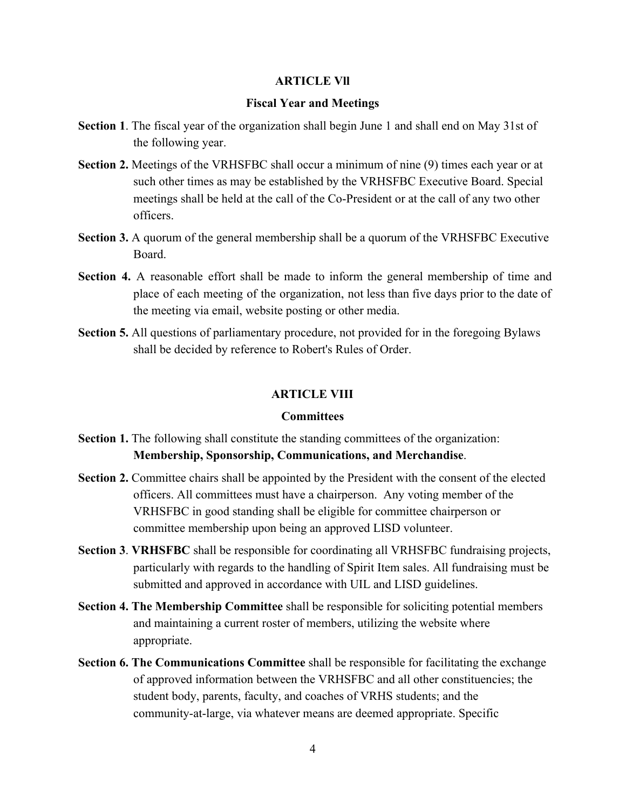#### **ARTICLE Vll**

### **Fiscal Year and Meetings**

- **Section 1**. The fiscal year of the organization shall begin June 1 and shall end on May 31st of the following year.
- **Section 2.** Meetings of the VRHSFBC shall occur a minimum of nine (9) times each year or at such other times as may be established by the VRHSFBC Executive Board. Special meetings shall be held at the call of the Co-President or at the call of any two other officers.
- **Section 3.** A quorum of the general membership shall be a quorum of the VRHSFBC Executive Board.
- **Section 4.** A reasonable effort shall be made to inform the general membership of time and place of each meeting of the organization, not less than five days prior to the date of the meeting via email, website posting or other media.
- **Section 5.** All questions of parliamentary procedure, not provided for in the foregoing Bylaws shall be decided by reference to Robert's Rules of Order.

### **ARTICLE VIII**

### **Committees**

- **Section 1.** The following shall constitute the standing committees of the organization: **Membership, Sponsorship, Communications, and Merchandise**.
- **Section 2.** Committee chairs shall be appointed by the President with the consent of the elected officers. All committees must have a chairperson. Any voting member of the VRHSFBC in good standing shall be eligible for committee chairperson or committee membership upon being an approved LISD volunteer.
- **Section 3**. **VRHSFBC** shall be responsible for coordinating all VRHSFBC fundraising projects, particularly with regards to the handling of Spirit Item sales. All fundraising must be submitted and approved in accordance with UIL and LISD guidelines.
- **Section 4. The Membership Committee** shall be responsible for soliciting potential members and maintaining a current roster of members, utilizing the website where appropriate.
- **Section 6. The Communications Committee** shall be responsible for facilitating the exchange of approved information between the VRHSFBC and all other constituencies; the student body, parents, faculty, and coaches of VRHS students; and the community-at-large, via whatever means are deemed appropriate. Specific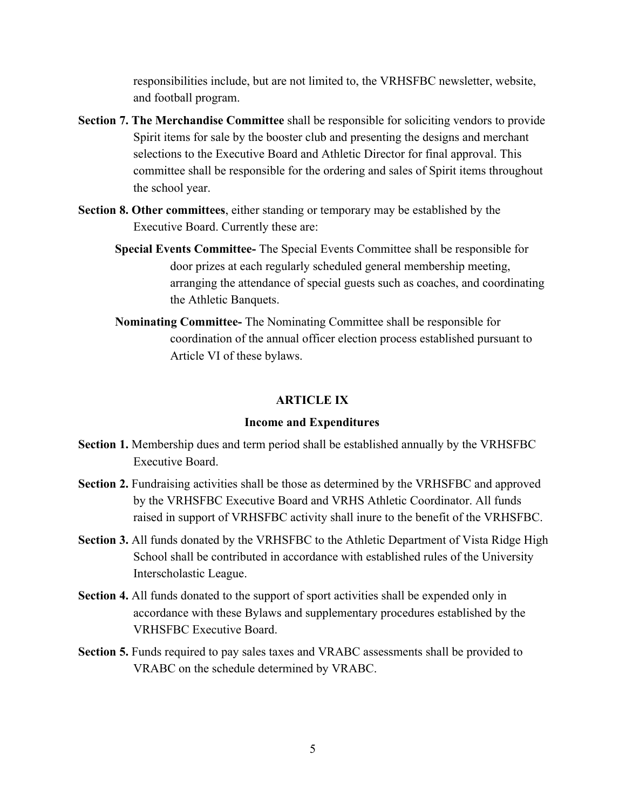responsibilities include, but are not limited to, the VRHSFBC newsletter, website, and football program.

- **Section 7. The Merchandise Committee** shall be responsible for soliciting vendors to provide Spirit items for sale by the booster club and presenting the designs and merchant selections to the Executive Board and Athletic Director for final approval. This committee shall be responsible for the ordering and sales of Spirit items throughout the school year.
- **Section 8. Other committees**, either standing or temporary may be established by the Executive Board. Currently these are:
	- **Special Events Committee-** The Special Events Committee shall be responsible for door prizes at each regularly scheduled general membership meeting, arranging the attendance of special guests such as coaches, and coordinating the Athletic Banquets.
	- **Nominating Committee-** The Nominating Committee shall be responsible for coordination of the annual officer election process established pursuant to Article VI of these bylaws.

### **ARTICLE IX**

### **Income and Expenditures**

- **Section 1.** Membership dues and term period shall be established annually by the VRHSFBC Executive Board.
- **Section 2.** Fundraising activities shall be those as determined by the VRHSFBC and approved by the VRHSFBC Executive Board and VRHS Athletic Coordinator. All funds raised in support of VRHSFBC activity shall inure to the benefit of the VRHSFBC.
- **Section 3.** All funds donated by the VRHSFBC to the Athletic Department of Vista Ridge High School shall be contributed in accordance with established rules of the University Interscholastic League.
- **Section 4.** All funds donated to the support of sport activities shall be expended only in accordance with these Bylaws and supplementary procedures established by the VRHSFBC Executive Board.
- **Section 5.** Funds required to pay sales taxes and VRABC assessments shall be provided to VRABC on the schedule determined by VRABC.